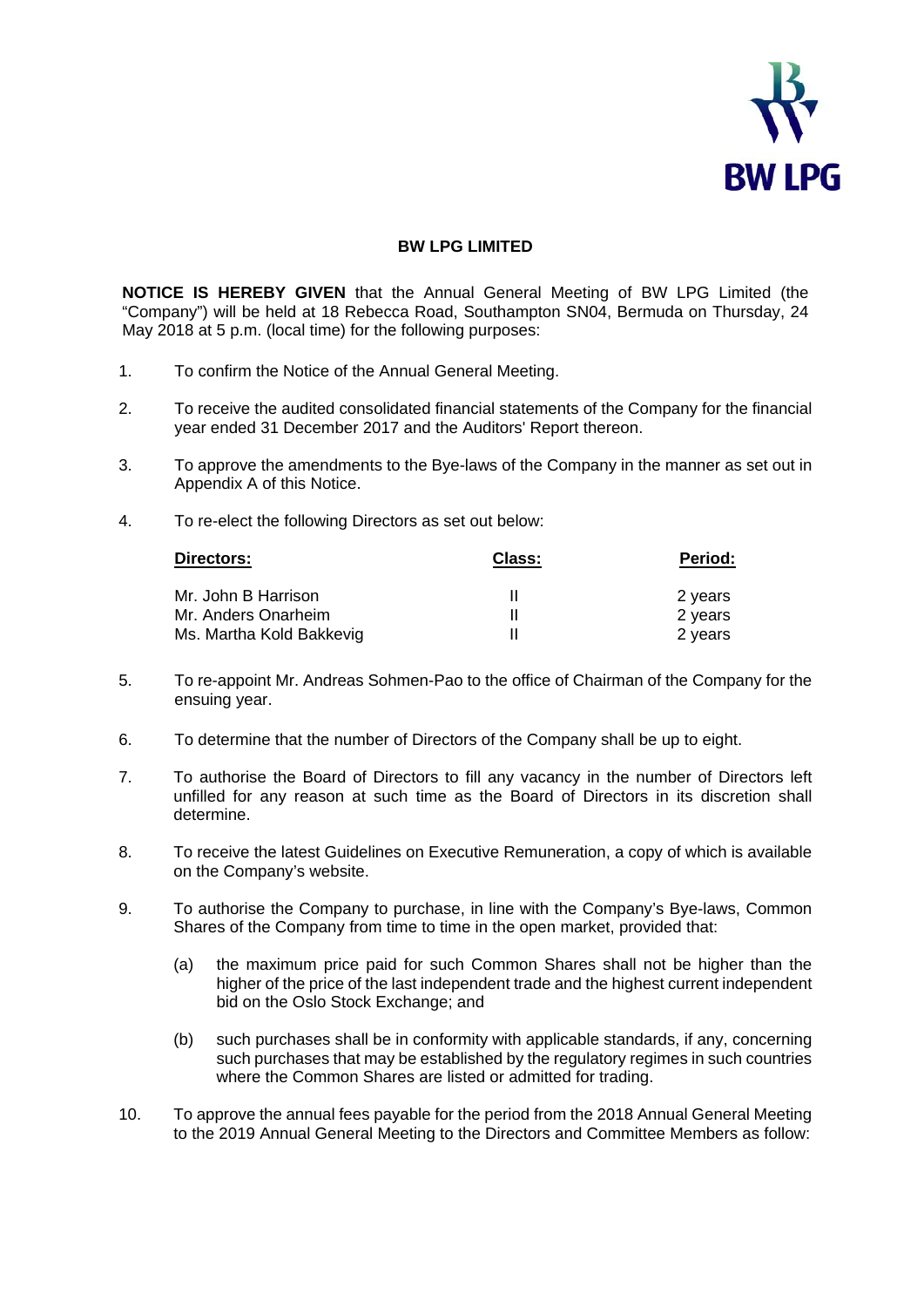

## **BW LPG LIMITED**

**NOTICE IS HEREBY GIVEN** that the Annual General Meeting of BW LPG Limited (the "Company") will be held at 18 Rebecca Road, Southampton SN04, Bermuda on Thursday, 24 May 2018 at 5 p.m. (local time) for the following purposes:

- 1. To confirm the Notice of the Annual General Meeting.
- 2. To receive the audited consolidated financial statements of the Company for the financial year ended 31 December 2017 and the Auditors' Report thereon.
- 3. To approve the amendments to the Bye-laws of the Company in the manner as set out in Appendix A of this Notice.
- 4. To re-elect the following Directors as set out below:

| Directors:               | <b>Class:</b> | Period: |
|--------------------------|---------------|---------|
| Mr. John B Harrison      |               | 2 years |
| Mr. Anders Onarheim      |               | 2 years |
| Ms. Martha Kold Bakkevig |               | 2 years |

- 5. To re-appoint Mr. Andreas Sohmen-Pao to the office of Chairman of the Company for the ensuing year.
- 6. To determine that the number of Directors of the Company shall be up to eight.
- 7. To authorise the Board of Directors to fill any vacancy in the number of Directors left unfilled for any reason at such time as the Board of Directors in its discretion shall determine.
- 8. To receive the latest Guidelines on Executive Remuneration, a copy of which is available on the Company's website.
- 9. To authorise the Company to purchase, in line with the Company's Bye-laws, Common Shares of the Company from time to time in the open market, provided that:
	- (a) the maximum price paid for such Common Shares shall not be higher than the higher of the price of the last independent trade and the highest current independent bid on the Oslo Stock Exchange; and
	- (b) such purchases shall be in conformity with applicable standards, if any, concerning such purchases that may be established by the regulatory regimes in such countries where the Common Shares are listed or admitted for trading.
- 10. To approve the annual fees payable for the period from the 2018 Annual General Meeting to the 2019 Annual General Meeting to the Directors and Committee Members as follow: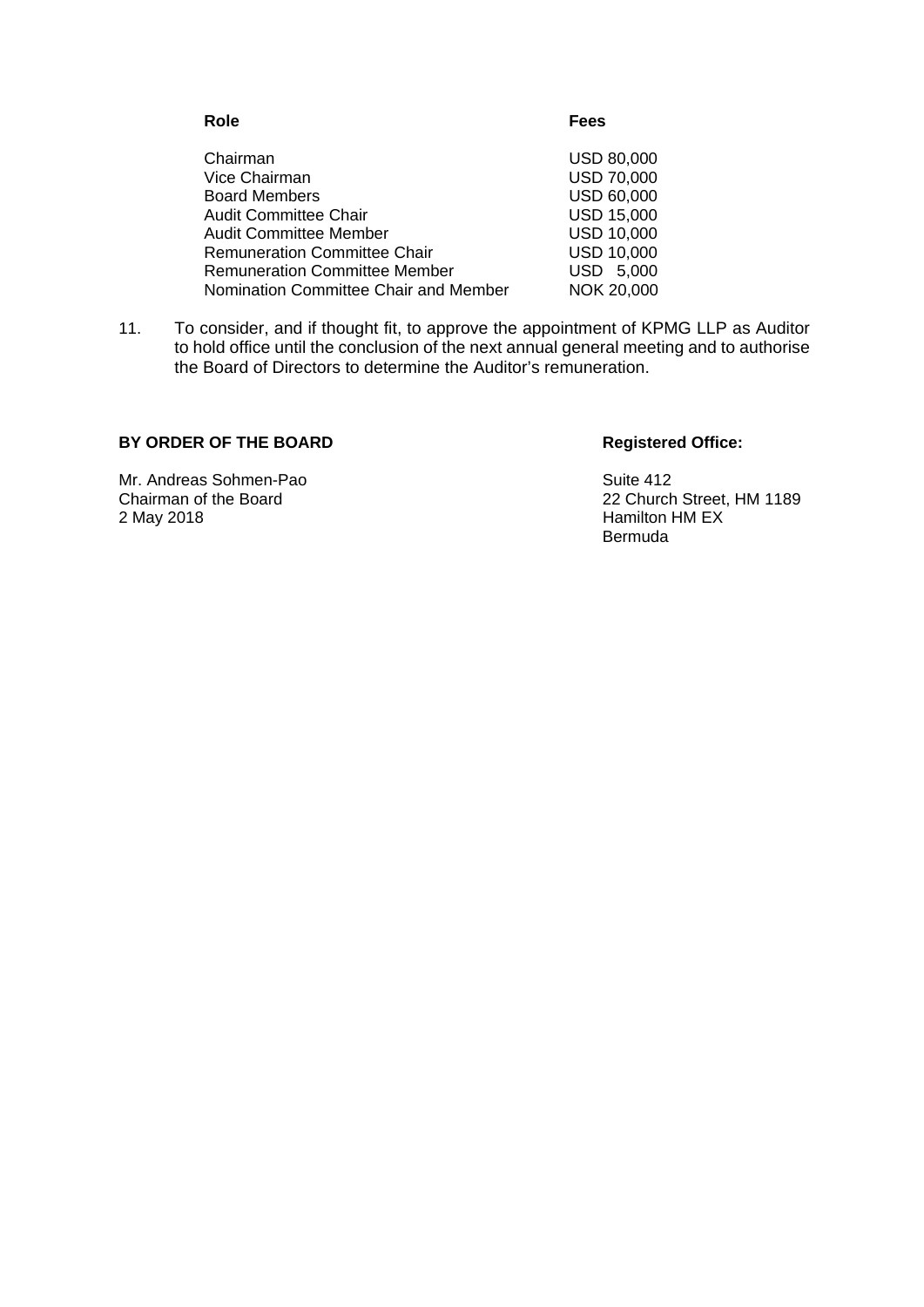| Role                                  | Fees              |
|---------------------------------------|-------------------|
| Chairman                              | <b>USD 80,000</b> |
| Vice Chairman                         | <b>USD 70,000</b> |
| <b>Board Members</b>                  | <b>USD 60,000</b> |
| <b>Audit Committee Chair</b>          | <b>USD 15,000</b> |
| <b>Audit Committee Member</b>         | <b>USD 10,000</b> |
| <b>Remuneration Committee Chair</b>   | <b>USD 10,000</b> |
| <b>Remuneration Committee Member</b>  | USD 5,000         |
| Nomination Committee Chair and Member | NOK 20,000        |

11. To consider, and if thought fit, to approve the appointment of KPMG LLP as Auditor to hold office until the conclusion of the next annual general meeting and to authorise the Board of Directors to determine the Auditor's remuneration.

## BY ORDER OF THE BOARD Registered Office:

Mr. Andreas Sohmen-Pao Suite 412<br>
Chairman of the Board<br>
22 Church

Chairman of the Board<br>
22 Church Street, HM 1189<br>
22 May 2018<br>
22 Mamilton HM EX Hamilton HM EX Bermuda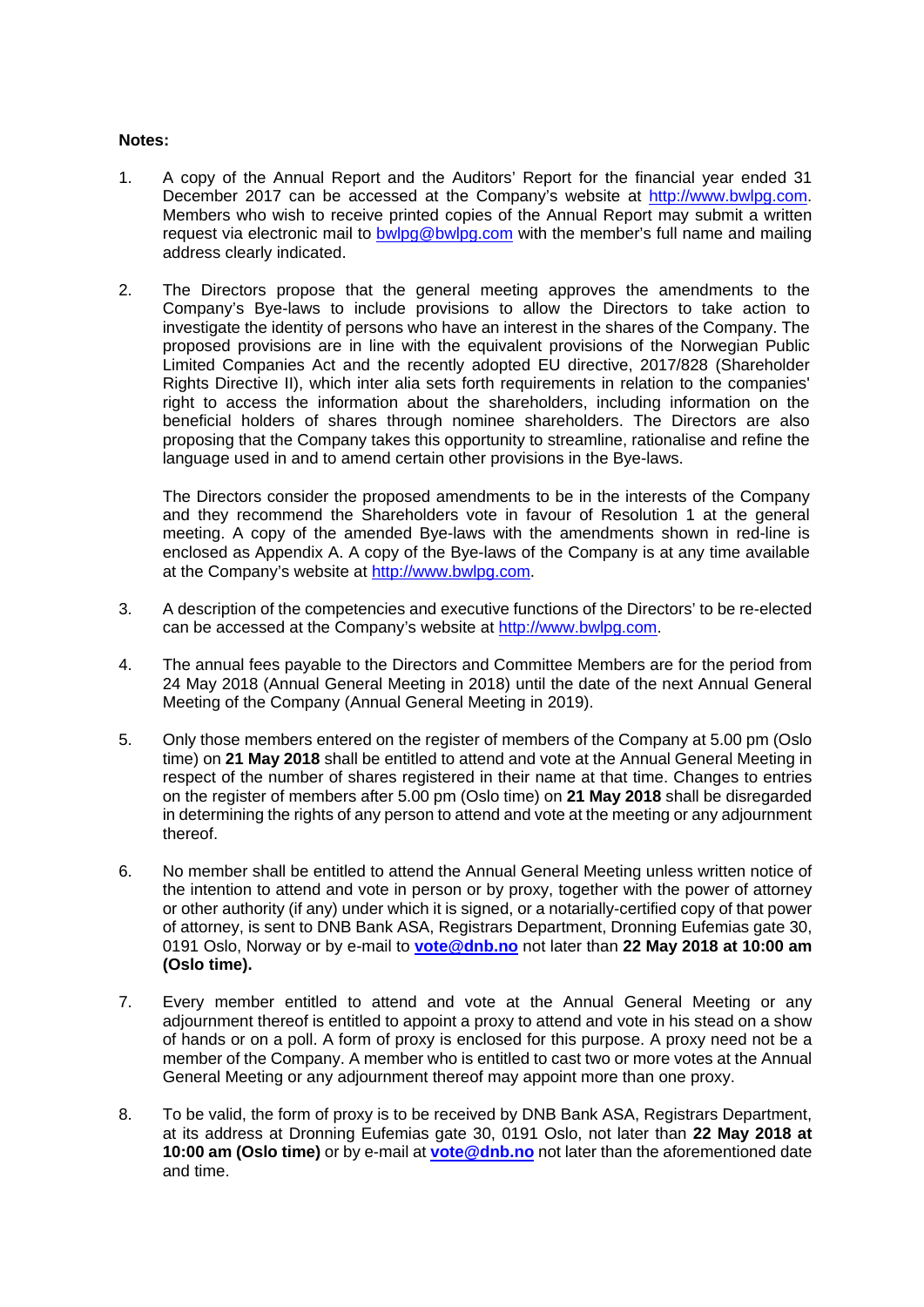## **Notes:**

- 1. A copy of the Annual Report and the Auditors' Report for the financial year ended 31 December 2017 can be accessed at the Company's website at http://www.bwlpg.com. Members who wish to receive printed copies of the Annual Report may submit a written request via electronic mail to bwlpg@bwlpg.com with the member's full name and mailing address clearly indicated.
- 2. The Directors propose that the general meeting approves the amendments to the Company's Bye-laws to include provisions to allow the Directors to take action to investigate the identity of persons who have an interest in the shares of the Company. The proposed provisions are in line with the equivalent provisions of the Norwegian Public Limited Companies Act and the recently adopted EU directive, 2017/828 (Shareholder Rights Directive II), which inter alia sets forth requirements in relation to the companies' right to access the information about the shareholders, including information on the beneficial holders of shares through nominee shareholders. The Directors are also proposing that the Company takes this opportunity to streamline, rationalise and refine the language used in and to amend certain other provisions in the Bye-laws.

The Directors consider the proposed amendments to be in the interests of the Company and they recommend the Shareholders vote in favour of Resolution 1 at the general meeting. A copy of the amended Bye-laws with the amendments shown in red-line is enclosed as Appendix A. A copy of the Bye-laws of the Company is at any time available at the Company's website at http://www.bwlpg.com.

- 3. A description of the competencies and executive functions of the Directors' to be re-elected can be accessed at the Company's website at http://www.bwlpg.com.
- 4. The annual fees payable to the Directors and Committee Members are for the period from 24 May 2018 (Annual General Meeting in 2018) until the date of the next Annual General Meeting of the Company (Annual General Meeting in 2019).
- 5. Only those members entered on the register of members of the Company at 5.00 pm (Oslo time) on **21 May 2018** shall be entitled to attend and vote at the Annual General Meeting in respect of the number of shares registered in their name at that time. Changes to entries on the register of members after 5.00 pm (Oslo time) on **21 May 2018** shall be disregarded in determining the rights of any person to attend and vote at the meeting or any adjournment thereof.
- 6. No member shall be entitled to attend the Annual General Meeting unless written notice of the intention to attend and vote in person or by proxy, together with the power of attorney or other authority (if any) under which it is signed, or a notarially-certified copy of that power of attorney, is sent to DNB Bank ASA, Registrars Department, Dronning Eufemias gate 30, 0191 Oslo, Norway or by e-mail to **vote@dnb.no** not later than **22 May 2018 at 10:00 am (Oslo time).**
- 7. Every member entitled to attend and vote at the Annual General Meeting or any adjournment thereof is entitled to appoint a proxy to attend and vote in his stead on a show of hands or on a poll. A form of proxy is enclosed for this purpose. A proxy need not be a member of the Company. A member who is entitled to cast two or more votes at the Annual General Meeting or any adjournment thereof may appoint more than one proxy.
- 8. To be valid, the form of proxy is to be received by DNB Bank ASA, Registrars Department, at its address at Dronning Eufemias gate 30, 0191 Oslo, not later than **22 May 2018 at 10:00 am (Oslo time)** or by e-mail at **vote@dnb.no** not later than the aforementioned date and time.